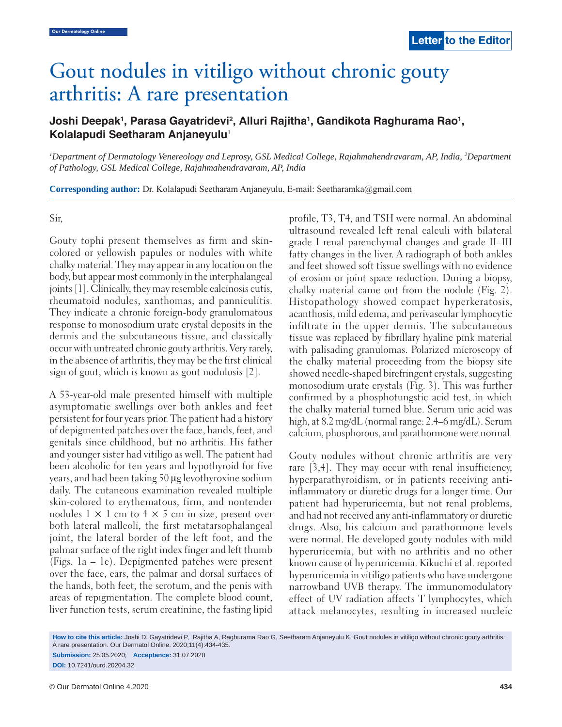# Gout nodules in vitiligo without chronic gouty arthritis: A rare presentation

## Joshi Deepak<sup>1</sup>, Parasa Gayatridevi<sup>2</sup>, Alluri Rajitha<sup>1</sup>, Gandikota Raghurama Rao<sup>1</sup>, **Kolalapudi Seetharam Anjaneyulu**<sup>1</sup>

*1 Department of Dermatology Venereology and Leprosy, GSL Medical College, Rajahmahendravaram, AP, India, 2 Department of Pathology, GSL Medical College, Rajahmahendravaram, AP, India*

**Corresponding author:** Dr. Kolalapudi Seetharam Anjaneyulu, E-mail: Seetharamka@gmail.com

#### Sir,

Gouty tophi present themselves as firm and skincolored or yellowish papules or nodules with white chalky material. They may appear in any location on the body, but appear most commonly in the interphalangeal joints [1]. Clinically, they may resemble calcinosis cutis, rheumatoid nodules, xanthomas, and panniculitis. They indicate a chronic foreign-body granulomatous response to monosodium urate crystal deposits in the dermis and the subcutaneous tissue, and classically occur with untreated chronic gouty arthritis. Very rarely, in the absence of arthritis, they may be the first clinical sign of gout, which is known as gout nodulosis [2].

A 53-year-old male presented himself with multiple asymptomatic swellings over both ankles and feet persistent for four years prior. The patient had a history of depigmented patches over the face, hands, feet, and genitals since childhood, but no arthritis. His father and younger sister had vitiligo as well. The patient had been alcoholic for ten years and hypothyroid for five years, and had been taking 50 μg levothyroxine sodium daily. The cutaneous examination revealed multiple skin-colored to erythematous, firm, and nontender nodules  $1 \times 1$  cm to  $4 \times 5$  cm in size, present over both lateral malleoli, the first metatarsophalangeal joint, the lateral border of the left foot, and the palmar surface of the right index finger and left thumb (Figs. 1a – 1c). Depigmented patches were present over the face, ears, the palmar and dorsal surfaces of the hands, both feet, the scrotum, and the penis with areas of repigmentation. The complete blood count, liver function tests, serum creatinine, the fasting lipid

profile, T3, T4, and TSH were normal. An abdominal ultrasound revealed left renal calculi with bilateral grade I renal parenchymal changes and grade II–III fatty changes in the liver. A radiograph of both ankles and feet showed soft tissue swellings with no evidence of erosion or joint space reduction. During a biopsy, chalky material came out from the nodule (Fig. 2). Histopathology showed compact hyperkeratosis, acanthosis, mild edema, and perivascular lymphocytic infiltrate in the upper dermis. The subcutaneous tissue was replaced by fibrillary hyaline pink material with palisading granulomas. Polarized microscopy of the chalky material proceeding from the biopsy site showed needle-shaped birefringent crystals, suggesting monosodium urate crystals (Fig. 3). This was further confirmed by a phosphotungstic acid test, in which the chalky material turned blue. Serum uric acid was high, at 8.2 mg/dL (normal range: 2.4–6 mg/dL). Serum calcium, phosphorous, and parathormone were normal.

 Gouty nodules without chronic arthritis are very rare [3,4]. They may occur with renal insufficiency, hyperparathyroidism, or in patients receiving antiinflammatory or diuretic drugs for a longer time. Our patient had hyperuricemia, but not renal problems, and had not received any anti-inflammatory or diuretic drugs. Also, his calcium and parathormone levels were normal. He developed gouty nodules with mild hyperuricemia, but with no arthritis and no other known cause of hyperuricemia. Kikuchi et al. reported hyperuricemia in vitiligo patients who have undergone narrowband UVB therapy. The immunomodulatory effect of UV radiation affects T lymphocytes, which attack melanocytes, resulting in increased nucleic

**How to cite this article:** Joshi D, Gayatridevi P, Rajitha A, Raghurama Rao G, Seetharam Anjaneyulu K. Gout nodules in vitiligo without chronic gouty arthritis: A rare presentation. Our Dermatol Online. 2020;11(4):434-435.

**Submission:** 25.05.2020; **Acceptance:** 31.07.2020 **DOI:** 10.7241/ourd.20204.32